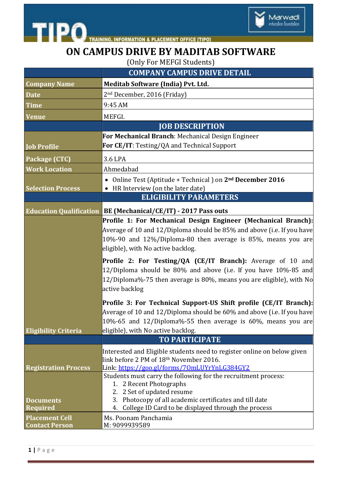

## **ON CAMPUS DRIVE BY MADITAB SOFTWARE**

Marwadi<br>education foundation

(Only For MEFGI Students)

|                                                                   | <b>COMPANY CAMPUS DRIVE DETAIL</b>                                                                                                                                                                                                                                                                                                                       |
|-------------------------------------------------------------------|----------------------------------------------------------------------------------------------------------------------------------------------------------------------------------------------------------------------------------------------------------------------------------------------------------------------------------------------------------|
| <b>Company Name</b>                                               | Meditab Software (India) Pvt. Ltd.                                                                                                                                                                                                                                                                                                                       |
| <b>Date</b>                                                       | 2 <sup>nd</sup> December, 2016 (Friday)                                                                                                                                                                                                                                                                                                                  |
| <b>Time</b>                                                       | 9:45 AM                                                                                                                                                                                                                                                                                                                                                  |
| Venue                                                             | MEFGI.                                                                                                                                                                                                                                                                                                                                                   |
|                                                                   | <b>JOB DESCRIPTION</b>                                                                                                                                                                                                                                                                                                                                   |
|                                                                   | <b>For Mechanical Branch</b> : Mechanical Design Engineer                                                                                                                                                                                                                                                                                                |
| <b>Job Profile</b>                                                | For CE/IT: Testing/QA and Technical Support                                                                                                                                                                                                                                                                                                              |
| Package (CTC)                                                     | 3.6 LPA                                                                                                                                                                                                                                                                                                                                                  |
| <b>Work Location</b>                                              | Ahmedabad                                                                                                                                                                                                                                                                                                                                                |
| <b>Selection Process</b>                                          | Online Test (Aptitude + Technical) on 2 <sup>nd</sup> December 2016<br>HR Interview (on the later date)                                                                                                                                                                                                                                                  |
|                                                                   | <b>ELIGIBILITY PARAMETERS</b>                                                                                                                                                                                                                                                                                                                            |
| <b>Education Qualification</b>                                    | BE (Mechanical/CE/IT) - 2017 Pass outs                                                                                                                                                                                                                                                                                                                   |
|                                                                   | Profile 1: For Mechanical Design Engineer (Mechanical Branch):<br>Average of 10 and 12/Diploma should be 85% and above (i.e. If you have $\mid$<br>10%-90 and 12%/Diploma-80 then average is 85%, means you are<br>eligible), with No active backlog.<br><b>Profile 2: For Testing/QA (CE/IT Branch):</b> Average of 10 and                              |
|                                                                   | $12/D$ iploma should be 80% and above (i.e. If you have 10%-85 and<br>12/Diploma%-75 then average is 80%, means you are eligible), with $N_0$<br>active backlog                                                                                                                                                                                          |
| <b>Eligibility Criteria</b>                                       | Profile 3: For Technical Support-US Shift profile (CE/IT Branch):<br>Average of 10 and 12/Diploma should be 60% and above (i.e. If you have<br>$ 10\% - 65$ and 12/Diploma%-55 then average is 60%, means you are<br>eligible), with No active backlog.<br><b>TO PARTICIPATE</b>                                                                         |
| <b>Registration Process</b><br><b>Documents</b>                   | Interested and Eligible students need to register online on below given<br>link before 2 PM of 18th November 2016.<br>Link: https://goo.gl/forms/70mLUYrYnLG384GY2<br>Students must carry the following for the recruitment process:<br>1. 2 Recent Photographs<br>2. 2 Set of updated resume<br>3. Photocopy of all academic certificates and till date |
| <b>Required</b><br><b>Placement Cell</b><br><b>Contact Person</b> | College ID Card to be displayed through the process<br>4.<br>Ms. Poonam Panchamia<br>M: 9099939589                                                                                                                                                                                                                                                       |